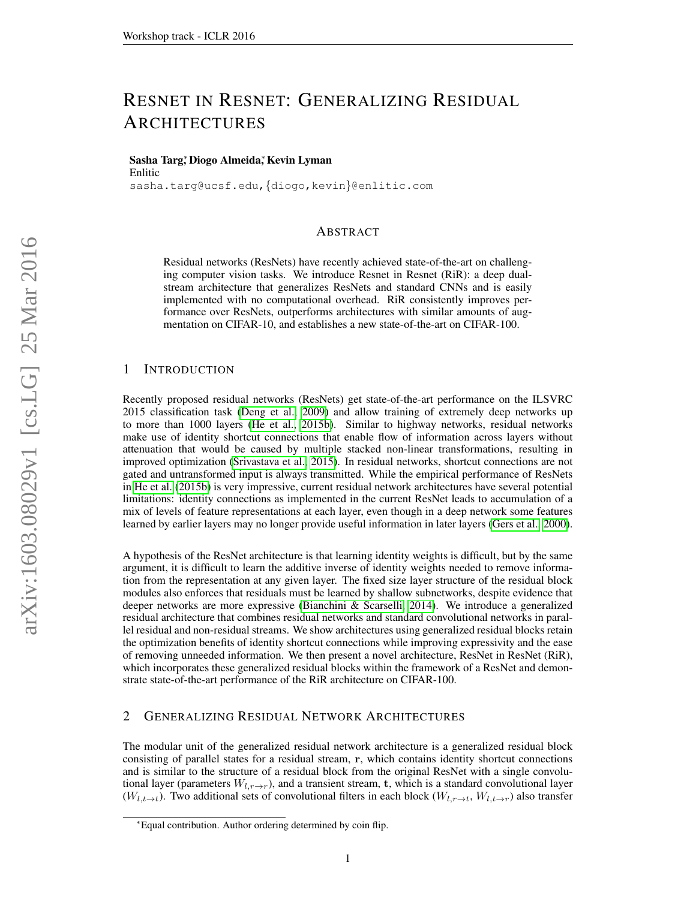# RESNET IN RESNET: GENERALIZING RESIDUAL ARCHITECTURES

## Sasha Targ,\*Diogo Almeida,\*Kevin Lyman Enlitic

sasha.targ@ucsf.edu,{diogo,kevin}@enlitic.com

## ABSTRACT

Residual networks (ResNets) have recently achieved state-of-the-art on challenging computer vision tasks. We introduce Resnet in Resnet (RiR): a deep dualstream architecture that generalizes ResNets and standard CNNs and is easily implemented with no computational overhead. RiR consistently improves performance over ResNets, outperforms architectures with similar amounts of augmentation on CIFAR-10, and establishes a new state-of-the-art on CIFAR-100.

## 1 INTRODUCTION

Recently proposed residual networks (ResNets) get state-of-the-art performance on the ILSVRC 2015 classification task [\(Deng et al., 2009\)](#page-3-0) and allow training of extremely deep networks up to more than 1000 layers [\(He et al., 2015b\)](#page-3-1). Similar to highway networks, residual networks make use of identity shortcut connections that enable flow of information across layers without attenuation that would be caused by multiple stacked non-linear transformations, resulting in improved optimization [\(Srivastava et al., 2015\)](#page-3-2). In residual networks, shortcut connections are not gated and untransformed input is always transmitted. While the empirical performance of ResNets in [He et al.](#page-3-1) [\(2015b\)](#page-3-1) is very impressive, current residual network architectures have several potential limitations: identity connections as implemented in the current ResNet leads to accumulation of a mix of levels of feature representations at each layer, even though in a deep network some features learned by earlier layers may no longer provide useful information in later layers [\(Gers et al., 2000\)](#page-3-3).

A hypothesis of the ResNet architecture is that learning identity weights is difficult, but by the same argument, it is difficult to learn the additive inverse of identity weights needed to remove information from the representation at any given layer. The fixed size layer structure of the residual block modules also enforces that residuals must be learned by shallow subnetworks, despite evidence that deeper networks are more expressive [\(Bianchini & Scarselli, 2014\)](#page-3-4). We introduce a generalized residual architecture that combines residual networks and standard convolutional networks in parallel residual and non-residual streams. We show architectures using generalized residual blocks retain the optimization benefits of identity shortcut connections while improving expressivity and the ease of removing unneeded information. We then present a novel architecture, ResNet in ResNet (RiR), which incorporates these generalized residual blocks within the framework of a ResNet and demonstrate state-of-the-art performance of the RiR architecture on CIFAR-100.

## <span id="page-0-0"></span>2 GENERALIZING RESIDUAL NETWORK ARCHITECTURES

The modular unit of the generalized residual network architecture is a generalized residual block consisting of parallel states for a residual stream, r, which contains identity shortcut connections and is similar to the structure of a residual block from the original ResNet with a single convolutional layer (parameters  $W_{l,r\to r}$ ), and a transient stream, t, which is a standard convolutional layer  $(W_{l,t\to t})$ . Two additional sets of convolutional filters in each block  $(W_{l,r\to t}, W_{l,t\to r})$  also transfer

<sup>∗</sup>Equal contribution. Author ordering determined by coin flip.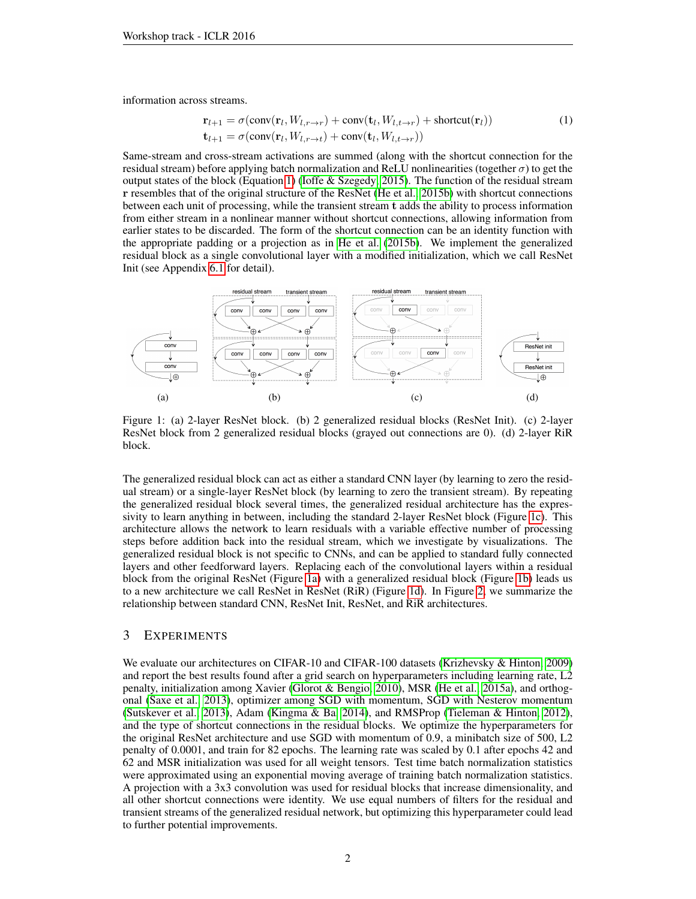information across streams.

$$
\mathbf{r}_{l+1} = \sigma(\text{conv}(\mathbf{r}_l, W_{l,r \to r}) + \text{conv}(\mathbf{t}_l, W_{l,t \to r}) + \text{shortcut}(\mathbf{r}_l)) \n\mathbf{t}_{l+1} = \sigma(\text{conv}(\mathbf{r}_l, W_{l,r \to t}) + \text{conv}(\mathbf{t}_l, W_{l,t \to r}))
$$
\n(1)

Same-stream and cross-stream activations are summed (along with the shortcut connection for the residual stream) before applying batch normalization and ReLU nonlinearities (together  $\sigma$ ) to get the output states of the block (Equation [1\)](#page-0-0) [\(Ioffe & Szegedy, 2015\)](#page-3-5). The function of the residual stream r resembles that of the original structure of the ResNet [\(He et al., 2015b\)](#page-3-1) with shortcut connections between each unit of processing, while the transient stream t adds the ability to process information from either stream in a nonlinear manner without shortcut connections, allowing information from earlier states to be discarded. The form of the shortcut connection can be an identity function with the appropriate padding or a projection as in [He et al.](#page-3-1) [\(2015b\)](#page-3-1). We implement the generalized residual block as a single convolutional layer with a modified initialization, which we call ResNet Init (see Appendix [6.1](#page-4-0) for detail).

<span id="page-1-0"></span>

Figure 1: (a) 2-layer ResNet block. (b) 2 generalized residual blocks (ResNet Init). (c) 2-layer ResNet block from 2 generalized residual blocks (grayed out connections are 0). (d) 2-layer RiR block.

The generalized residual block can act as either a standard CNN layer (by learning to zero the residual stream) or a single-layer ResNet block (by learning to zero the transient stream). By repeating the generalized residual block several times, the generalized residual architecture has the expressivity to learn anything in between, including the standard 2-layer ResNet block (Figure [1c\)](#page-1-0). This architecture allows the network to learn residuals with a variable effective number of processing steps before addition back into the residual stream, which we investigate by visualizations. The generalized residual block is not specific to CNNs, and can be applied to standard fully connected layers and other feedforward layers. Replacing each of the convolutional layers within a residual block from the original ResNet (Figure [1a\)](#page-1-0) with a generalized residual block (Figure [1b\)](#page-1-0) leads us to a new architecture we call ResNet in ResNet (RiR) (Figure [1d\)](#page-1-0). In Figure [2,](#page-4-1) we summarize the relationship between standard CNN, ResNet Init, ResNet, and RiR architectures.

## 3 EXPERIMENTS

We evaluate our architectures on CIFAR-10 and CIFAR-100 datasets [\(Krizhevsky & Hinton, 2009\)](#page-3-6) and report the best results found after a grid search on hyperparameters including learning rate, L2 penalty, initialization among Xavier [\(Glorot & Bengio, 2010\)](#page-3-7), MSR [\(He et al., 2015a\)](#page-3-8), and orthogonal [\(Saxe et al., 2013\)](#page-3-9), optimizer among SGD with momentum, SGD with Nesterov momentum [\(Sutskever et al., 2013\)](#page-3-10), Adam [\(Kingma & Ba, 2014\)](#page-3-11), and RMSProp [\(Tieleman & Hinton, 2012\)](#page-3-12), and the type of shortcut connections in the residual blocks. We optimize the hyperparameters for the original ResNet architecture and use SGD with momentum of 0.9, a minibatch size of 500, L2 penalty of 0.0001, and train for 82 epochs. The learning rate was scaled by 0.1 after epochs 42 and 62 and MSR initialization was used for all weight tensors. Test time batch normalization statistics were approximated using an exponential moving average of training batch normalization statistics. A projection with a 3x3 convolution was used for residual blocks that increase dimensionality, and all other shortcut connections were identity. We use equal numbers of filters for the residual and transient streams of the generalized residual network, but optimizing this hyperparameter could lead to further potential improvements.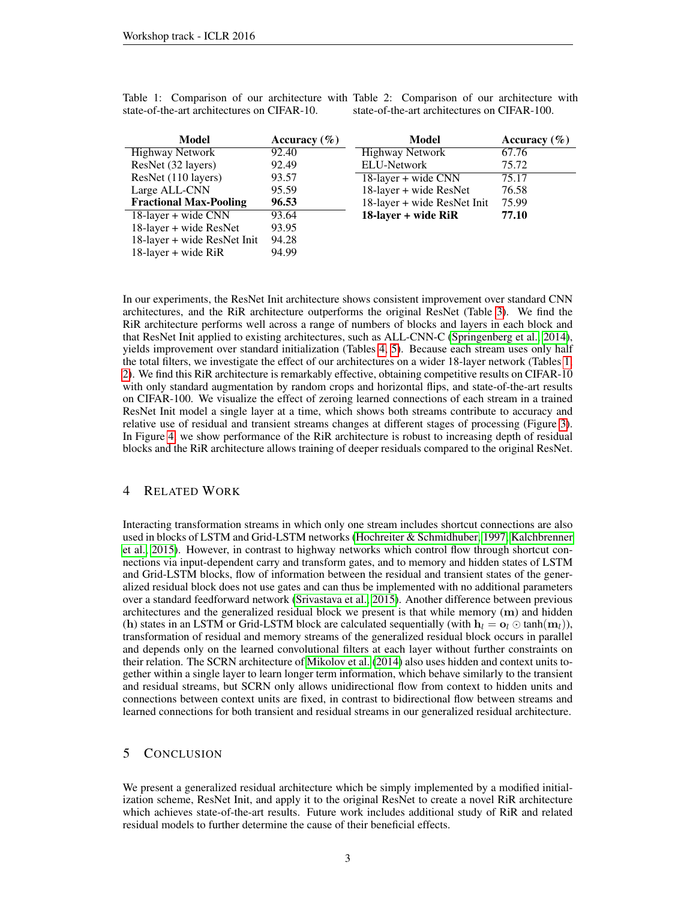| Model                         | Accuracy $(\% )$ | Model                       | Accuracy $(\% )$ |
|-------------------------------|------------------|-----------------------------|------------------|
| Highway Network               | 92.40            | Highway Network             | 67.76            |
| ResNet (32 layers)            | 92.49            | <b>ELU-Network</b>          | 75.72            |
| ResNet (110 layers)           | 93.57            | $18$ -layer + wide CNN      | 75.17            |
| Large ALL-CNN                 | 95.59            | 18-layer + wide ResNet      | 76.58            |
| <b>Fractional Max-Pooling</b> | 96.53            | 18-layer + wide ResNet Init | 75.99            |
| 18-layer + wide CNN           | 93.64            | 18-layer + wide RiR         | 77.10            |
| 18-layer + wide ResNet        | 93.95            |                             |                  |
| 18-layer + wide ResNet Init   | 94.28            |                             |                  |
| 18-layer + wide RiR           | 94.99            |                             |                  |

state-of-the-art architectures on CIFAR-10.

<span id="page-2-0"></span>Table 1: Comparison of our architecture with Table 2: Comparison of our architecture with state-of-the-art architectures on CIFAR-100.

In our experiments, the ResNet Init architecture shows consistent improvement over standard CNN architectures, and the RiR architecture outperforms the original ResNet (Table [3\)](#page-4-2). We find the RiR architecture performs well across a range of numbers of blocks and layers in each block and that ResNet Init applied to existing architectures, such as ALL-CNN-C [\(Springenberg et al., 2014\)](#page-3-13), yields improvement over standard initialization (Tables [4,](#page-4-2) [5\)](#page-5-0). Because each stream uses only half the total filters, we investigate the effect of our architectures on a wider 18-layer network (Tables [1,](#page-2-0) [2\)](#page-2-0). We find this RiR architecture is remarkably effective, obtaining competitive results on CIFAR-10 with only standard augmentation by random crops and horizontal flips, and state-of-the-art results on CIFAR-100. We visualize the effect of zeroing learned connections of each stream in a trained ResNet Init model a single layer at a time, which shows both streams contribute to accuracy and relative use of residual and transient streams changes at different stages of processing (Figure [3\)](#page-4-3). In Figure [4,](#page-4-3) we show performance of the RiR architecture is robust to increasing depth of residual blocks and the RiR architecture allows training of deeper residuals compared to the original ResNet.

#### 4 RELATED WORK

Interacting transformation streams in which only one stream includes shortcut connections are also used in blocks of LSTM and Grid-LSTM networks [\(Hochreiter & Schmidhuber, 1997;](#page-3-14) [Kalchbrenner](#page-3-15) [et al., 2015\)](#page-3-15). However, in contrast to highway networks which control flow through shortcut connections via input-dependent carry and transform gates, and to memory and hidden states of LSTM and Grid-LSTM blocks, flow of information between the residual and transient states of the generalized residual block does not use gates and can thus be implemented with no additional parameters over a standard feedforward network [\(Srivastava et al., 2015\)](#page-3-2). Another difference between previous architectures and the generalized residual block we present is that while memory  $(m)$  and hidden (h) states in an LSTM or Grid-LSTM block are calculated sequentially (with  $h_l = o_l \odot \tanh(m_l)$ ), transformation of residual and memory streams of the generalized residual block occurs in parallel and depends only on the learned convolutional filters at each layer without further constraints on their relation. The SCRN architecture of [Mikolov et al.](#page-3-16) [\(2014\)](#page-3-16) also uses hidden and context units together within a single layer to learn longer term information, which behave similarly to the transient and residual streams, but SCRN only allows unidirectional flow from context to hidden units and connections between context units are fixed, in contrast to bidirectional flow between streams and learned connections for both transient and residual streams in our generalized residual architecture.

### 5 CONCLUSION

We present a generalized residual architecture which be simply implemented by a modified initialization scheme, ResNet Init, and apply it to the original ResNet to create a novel RiR architecture which achieves state-of-the-art results. Future work includes additional study of RiR and related residual models to further determine the cause of their beneficial effects.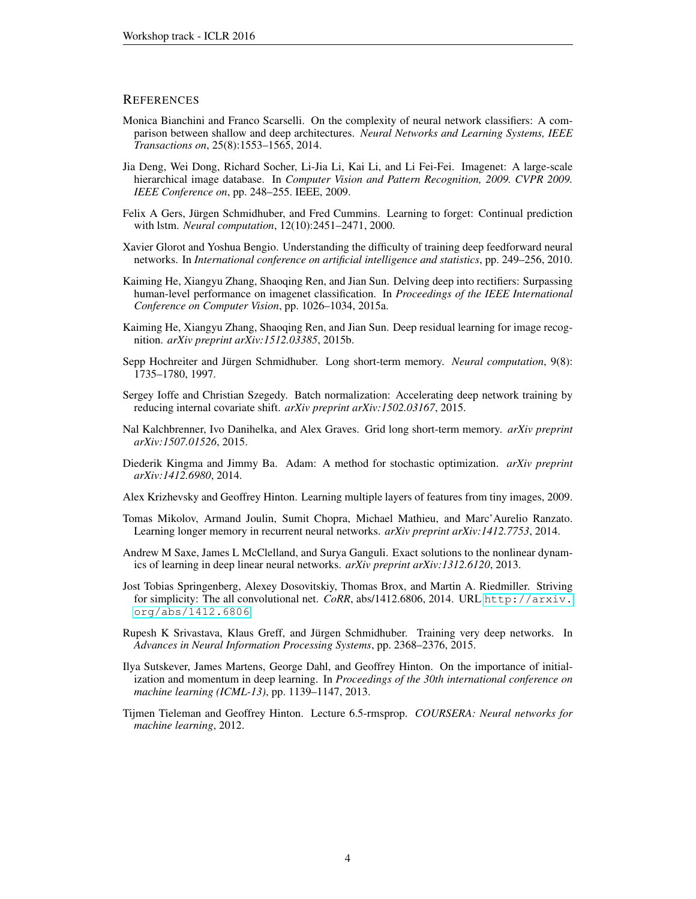#### **REFERENCES**

- <span id="page-3-4"></span>Monica Bianchini and Franco Scarselli. On the complexity of neural network classifiers: A comparison between shallow and deep architectures. *Neural Networks and Learning Systems, IEEE Transactions on*, 25(8):1553–1565, 2014.
- <span id="page-3-0"></span>Jia Deng, Wei Dong, Richard Socher, Li-Jia Li, Kai Li, and Li Fei-Fei. Imagenet: A large-scale hierarchical image database. In *Computer Vision and Pattern Recognition, 2009. CVPR 2009. IEEE Conference on*, pp. 248–255. IEEE, 2009.
- <span id="page-3-3"></span>Felix A Gers, Jürgen Schmidhuber, and Fred Cummins. Learning to forget: Continual prediction with lstm. *Neural computation*, 12(10):2451–2471, 2000.
- <span id="page-3-7"></span>Xavier Glorot and Yoshua Bengio. Understanding the difficulty of training deep feedforward neural networks. In *International conference on artificial intelligence and statistics*, pp. 249–256, 2010.
- <span id="page-3-8"></span>Kaiming He, Xiangyu Zhang, Shaoqing Ren, and Jian Sun. Delving deep into rectifiers: Surpassing human-level performance on imagenet classification. In *Proceedings of the IEEE International Conference on Computer Vision*, pp. 1026–1034, 2015a.
- <span id="page-3-1"></span>Kaiming He, Xiangyu Zhang, Shaoqing Ren, and Jian Sun. Deep residual learning for image recognition. *arXiv preprint arXiv:1512.03385*, 2015b.
- <span id="page-3-14"></span>Sepp Hochreiter and Jürgen Schmidhuber. Long short-term memory. *Neural computation*, 9(8): 1735–1780, 1997.
- <span id="page-3-5"></span>Sergey Ioffe and Christian Szegedy. Batch normalization: Accelerating deep network training by reducing internal covariate shift. *arXiv preprint arXiv:1502.03167*, 2015.
- <span id="page-3-15"></span>Nal Kalchbrenner, Ivo Danihelka, and Alex Graves. Grid long short-term memory. *arXiv preprint arXiv:1507.01526*, 2015.
- <span id="page-3-11"></span>Diederik Kingma and Jimmy Ba. Adam: A method for stochastic optimization. *arXiv preprint arXiv:1412.6980*, 2014.
- <span id="page-3-6"></span>Alex Krizhevsky and Geoffrey Hinton. Learning multiple layers of features from tiny images, 2009.
- <span id="page-3-16"></span>Tomas Mikolov, Armand Joulin, Sumit Chopra, Michael Mathieu, and Marc'Aurelio Ranzato. Learning longer memory in recurrent neural networks. *arXiv preprint arXiv:1412.7753*, 2014.
- <span id="page-3-9"></span>Andrew M Saxe, James L McClelland, and Surya Ganguli. Exact solutions to the nonlinear dynamics of learning in deep linear neural networks. *arXiv preprint arXiv:1312.6120*, 2013.
- <span id="page-3-13"></span>Jost Tobias Springenberg, Alexey Dosovitskiy, Thomas Brox, and Martin A. Riedmiller. Striving for simplicity: The all convolutional net. *CoRR*, abs/1412.6806, 2014. URL [http://arxiv.](http://arxiv.org/abs/1412.6806) [org/abs/1412.6806](http://arxiv.org/abs/1412.6806).
- <span id="page-3-2"></span>Rupesh K Srivastava, Klaus Greff, and Jürgen Schmidhuber. Training very deep networks. In *Advances in Neural Information Processing Systems*, pp. 2368–2376, 2015.
- <span id="page-3-10"></span>Ilya Sutskever, James Martens, George Dahl, and Geoffrey Hinton. On the importance of initialization and momentum in deep learning. In *Proceedings of the 30th international conference on machine learning (ICML-13)*, pp. 1139–1147, 2013.
- <span id="page-3-12"></span>Tijmen Tieleman and Geoffrey Hinton. Lecture 6.5-rmsprop. *COURSERA: Neural networks for machine learning*, 2012.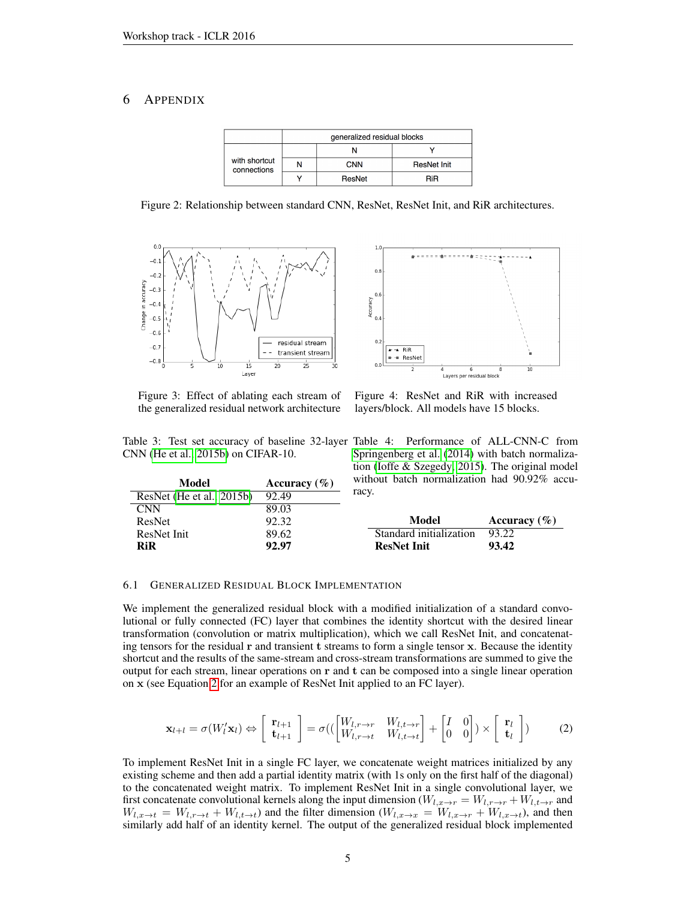## <span id="page-4-1"></span>6 APPENDIX

|                              | generalized residual blocks |            |                    |
|------------------------------|-----------------------------|------------|--------------------|
| with shortcut<br>connections |                             |            |                    |
|                              |                             | <b>CNN</b> | <b>ResNet Init</b> |
|                              |                             | ResNet     | RiR                |

Figure 2: Relationship between standard CNN, ResNet, ResNet Init, and RiR architectures.

 $1.($ 

 $0.8$ 

 $0.6$ Accuracy

 $0.4$ 

 $\overline{0}$ .

 $0.0$ 

 $+$  + RiR

- ResNet

<span id="page-4-3"></span>

Figure 3: Effect of ablating each stream of the generalized residual network architecture

ResNet [\(He et al., 2015b\)](#page-3-1) 92.49

Figure 4: ResNet and RiR with increased layers/block. All models have 15 blocks.

Lavers per residual block

<span id="page-4-2"></span>Table 3: Test set accuracy of baseline 32-layer Table 4: Performance of ALL-CNN-C from CNN [\(He et al., 2015b\)](#page-3-1) on CIFAR-10.

Model Accuracy (%)

| Springenberg et al. (2014) with batch normaliza-   |
|----------------------------------------------------|
| tion (Ioffe $&$ Szegedy, 2015). The original model |
| without batch normalization had 90.92% accu-       |
| racy.                                              |

| CNN           | 89.03 |                         |                  |
|---------------|-------|-------------------------|------------------|
| <b>ResNet</b> | 92.32 | Model                   | Accuracy $(\% )$ |
| ResNet Init   | 89.62 | Standard initialization | 93.22            |
| RiR           | 92.97 | <b>ResNet Init</b>      | 93.42            |

#### <span id="page-4-0"></span>6.1 GENERALIZED RESIDUAL BLOCK IMPLEMENTATION

We implement the generalized residual block with a modified initialization of a standard convolutional or fully connected (FC) layer that combines the identity shortcut with the desired linear transformation (convolution or matrix multiplication), which we call ResNet Init, and concatenating tensors for the residual r and transient t streams to form a single tensor x. Because the identity shortcut and the results of the same-stream and cross-stream transformations are summed to give the output for each stream, linear operations on r and t can be composed into a single linear operation on x (see Equation [2](#page-4-0) for an example of ResNet Init applied to an FC layer).

$$
\mathbf{x}_{l+l} = \sigma(W_l' \mathbf{x}_l) \Leftrightarrow \begin{bmatrix} \mathbf{r}_{l+1} \\ \mathbf{t}_{l+1} \end{bmatrix} = \sigma((\begin{bmatrix} W_{l,r \to r} & W_{l,t \to r} \\ W_{l,r \to t} & W_{l,t \to t} \end{bmatrix} + \begin{bmatrix} I & 0 \\ 0 & 0 \end{bmatrix}) \times \begin{bmatrix} \mathbf{r}_l \\ \mathbf{t}_l \end{bmatrix})
$$
(2)

To implement ResNet Init in a single FC layer, we concatenate weight matrices initialized by any existing scheme and then add a partial identity matrix (with 1s only on the first half of the diagonal) to the concatenated weight matrix. To implement ResNet Init in a single convolutional layer, we first concatenate convolutional kernels along the input dimension ( $W_{l,x\to r} = W_{l,r\to r} + W_{l,t\to r}$  and  $W_{l,x\to t} = W_{l,r\to t} + W_{l,t\to t}$  and the filter dimension  $(W_{l,x\to x} = W_{l,x\to t} + W_{l,x\to t})$ , and then similarly add half of an identity kernel. The output of the generalized residual block implemented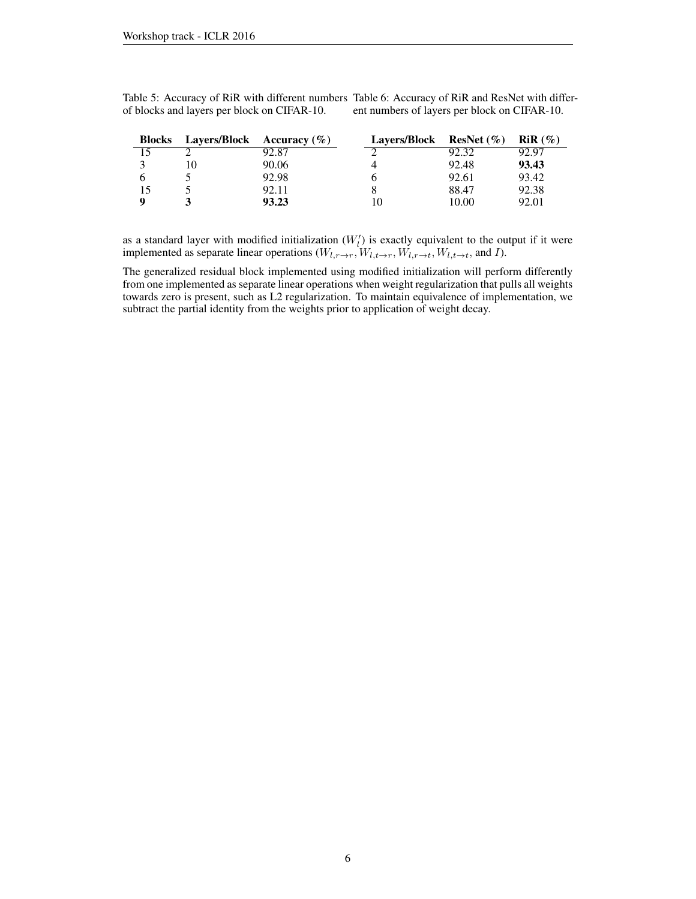<span id="page-5-0"></span>Table 5: Accuracy of RiR with different numbers Table 6: Accuracy of RiR and ResNet with differof blocks and layers per block on CIFAR-10. ent numbers of layers per block on CIFAR-10.

| <b>Blocks</b> | <b>Layers/Block</b> Accuracy $(\%)$ |       | <b>Lavers/Block</b> | ResNet $(\% )$ | $RiR(\%)$ |
|---------------|-------------------------------------|-------|---------------------|----------------|-----------|
|               |                                     | 92.87 |                     | 92.32          | 92.97     |
|               | 10                                  | 90.06 |                     | 92.48          | 93.43     |
|               |                                     | 92.98 |                     | 92.61          | 93.42     |
|               |                                     | 92.11 |                     | 88.47          | 92.38     |
|               |                                     | 93.23 |                     | 10.00          | 92.01     |

as a standard layer with modified initialization  $(W_l)$  is exactly equivalent to the output if it were implemented as separate linear operations  $(W_{l,r\to r}, W_{l,t\to r}, W_{l,t\to t}, W_{l,t\to t})$ , and I).

The generalized residual block implemented using modified initialization will perform differently from one implemented as separate linear operations when weight regularization that pulls all weights towards zero is present, such as L2 regularization. To maintain equivalence of implementation, we subtract the partial identity from the weights prior to application of weight decay.